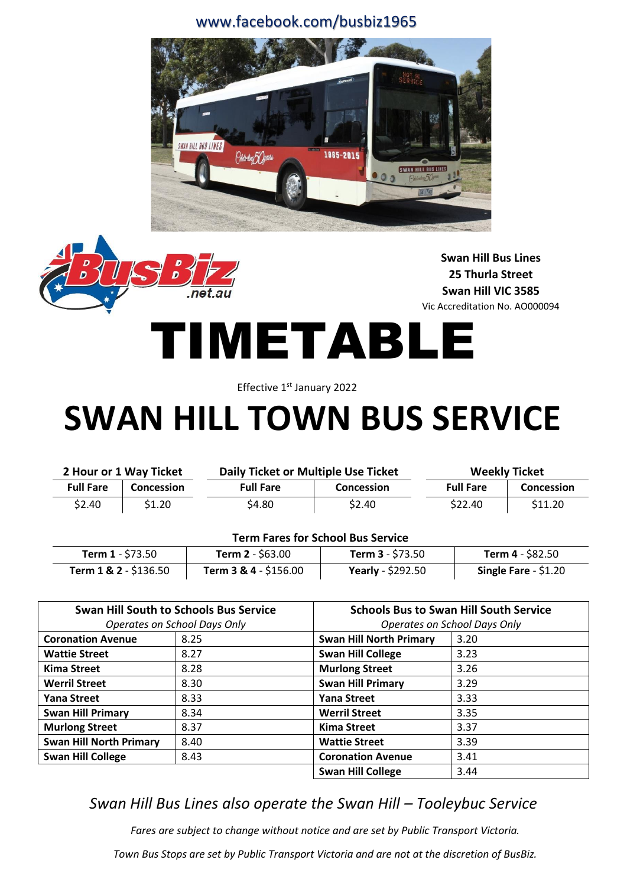#### www.facebook.com/busbiz1965





**Swan Hill Bus Lines 25 Thurla Street Swan Hill VIC 3585** Vic Accreditation No. AO000094

# TIMETABLE

Effective 1<sup>st</sup> January 2022

## **SWAN HILL TOWN BUS SERVICE**

| 2 Hour or 1 Way Ticket |                   | Daily Ticket or Multiple Use Ticket |                   | <b>Weekly Ticket</b> |                   |  |  |
|------------------------|-------------------|-------------------------------------|-------------------|----------------------|-------------------|--|--|
| <b>Full Fare</b>       | <b>Concession</b> | <b>Full Fare</b>                    | <b>Concession</b> | <b>Full Fare</b>     | <b>Concession</b> |  |  |
| \$2.40                 | \$1.20            | \$4.80                              | \$2.40            | \$22.40              | \$11.20           |  |  |

#### **Term Fares for School Bus Service**

| <b>Term 1</b> - \$73.50 | <b>Term 2</b> - \$63.00 | Term $3 - $73.50$        | Term 4 - \$82.50       |
|-------------------------|-------------------------|--------------------------|------------------------|
| Term $1 & 2 - $136.50$  | Term 3 & 4 - \$156.00   | <b>Yearly</b> - \$292.50 | Single Fare $-$ \$1.20 |

|                                | <b>Swan Hill South to Schools Bus Service</b> | <b>Schools Bus to Swan Hill South Service</b> |      |  |  |  |
|--------------------------------|-----------------------------------------------|-----------------------------------------------|------|--|--|--|
|                                | Operates on School Days Only                  | Operates on School Days Only                  |      |  |  |  |
| <b>Coronation Avenue</b>       | 8.25                                          | <b>Swan Hill North Primary</b>                | 3.20 |  |  |  |
| <b>Wattie Street</b>           | 8.27                                          | <b>Swan Hill College</b>                      | 3.23 |  |  |  |
| <b>Kima Street</b>             | 8.28                                          | <b>Murlong Street</b>                         | 3.26 |  |  |  |
| <b>Werril Street</b>           | 8.30                                          | <b>Swan Hill Primary</b>                      | 3.29 |  |  |  |
| <b>Yana Street</b>             | 8.33                                          | Yana Street                                   | 3.33 |  |  |  |
| <b>Swan Hill Primary</b>       | 8.34                                          | <b>Werril Street</b>                          | 3.35 |  |  |  |
| <b>Murlong Street</b>          | 8.37                                          | <b>Kima Street</b>                            | 3.37 |  |  |  |
| <b>Swan Hill North Primary</b> | 8.40                                          | <b>Wattie Street</b>                          | 3.39 |  |  |  |
| <b>Swan Hill College</b>       | 8.43                                          | <b>Coronation Avenue</b>                      | 3.41 |  |  |  |
|                                |                                               | <b>Swan Hill College</b>                      | 3.44 |  |  |  |

#### *Swan Hill Bus Lines also operate the Swan Hill – Tooleybuc Service*

*Fares are subject to change without notice and are set by Public Transport Victoria.*

*Town Bus Stops are set by Public Transport Victoria and are not at the discretion of BusBiz.*